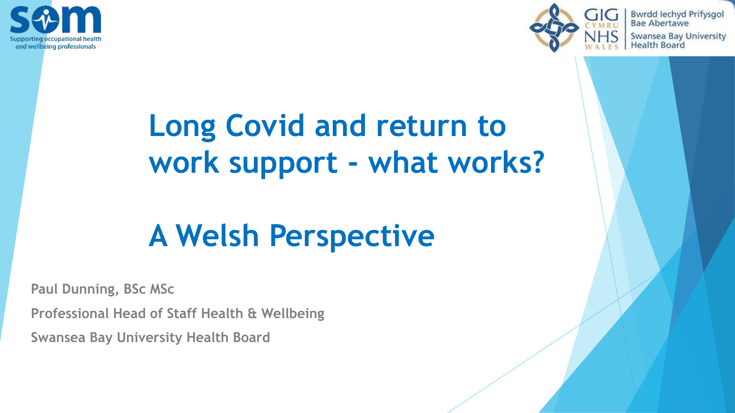



**Bwrdd lechyd Prifysgol Bae Abertawe** Swansea Bay University **Health Board** 

# **Long Covid and return to work support - what works?**

# **A Welsh Perspective**

**Paul Dunning, BSc MSc**

**Professional Head of Staff Health & Wellbeing**

**Swansea Bay University Health Board**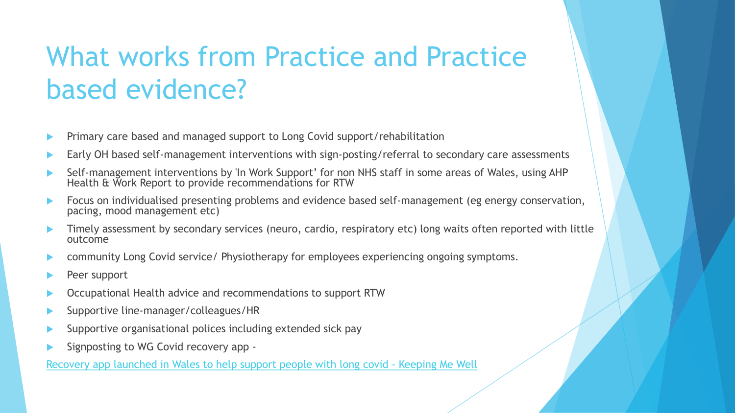# What works from Practice and Practice based evidence?

- Primary care based and managed support to Long Covid support/rehabilitation
- Early OH based self-management interventions with sign-posting/referral to secondary care assessments
- Self-management interventions by 'In Work Support' for non NHS staff in some areas of Wales, using AHP Health & Work Report to provide recommendations for RTW
- Focus on individualised presenting problems and evidence based self-management (eg energy conservation, pacing, mood management etc)
- Timely assessment by secondary services (neuro, cardio, respiratory etc) long waits often reported with little outcome
- community Long Covid service/ Physiotherapy for employees experiencing ongoing symptoms.
- Peer support
- Occupational Health advice and recommendations to support RTW
- Supportive line-manager/colleagues/HR
- Supportive organisational polices including extended sick pay
- Signposting to WG Covid recovery app -

[Recovery app launched in Wales to help support people with long covid](https://keepingmewell.com/recovery-app-launched/) - Keeping Me Well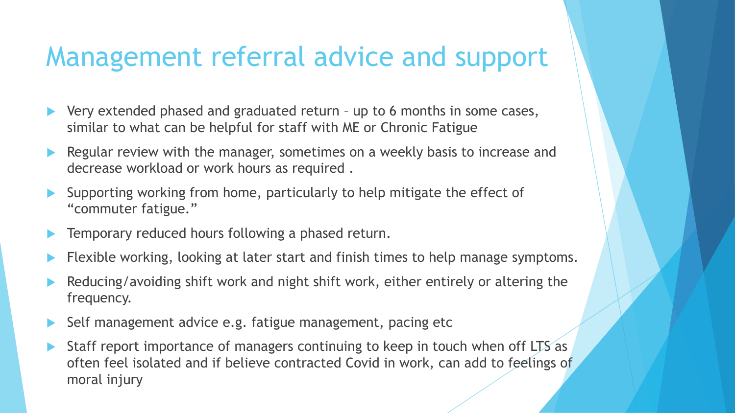### Management referral advice and support

- Very extended phased and graduated return up to 6 months in some cases, similar to what can be helpful for staff with ME or Chronic Fatigue
- Regular review with the manager, sometimes on a weekly basis to increase and decrease workload or work hours as required .
- Supporting working from home, particularly to help mitigate the effect of "commuter fatigue."
- Temporary reduced hours following a phased return.
- Flexible working, looking at later start and finish times to help manage symptoms.
- Reducing/avoiding shift work and night shift work, either entirely or altering the frequency.
- Self management advice e.g. fatigue management, pacing etc
- Staff report importance of managers continuing to keep in touch when off LTS as often feel isolated and if believe contracted Covid in work, can add to feelings of moral injury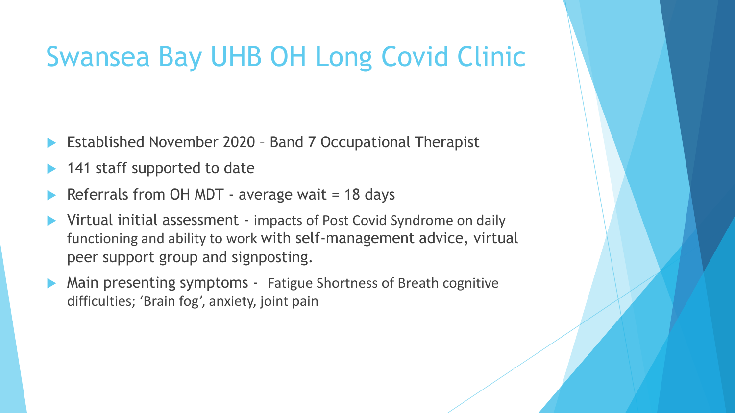## Swansea Bay UHB OH Long Covid Clinic

- Established November 2020 Band 7 Occupational Therapist
- 141 staff supported to date
- Referrals from OH MDT average wait = 18 days
- Virtual initial assessment impacts of Post Covid Syndrome on daily functioning and ability to work with self-management advice, virtual peer support group and signposting.
- Main presenting symptoms Fatigue Shortness of Breath cognitive difficulties; 'Brain fog', anxiety, joint pain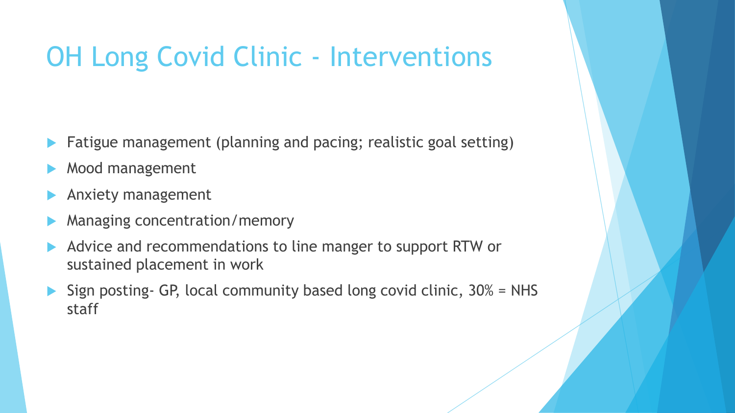# OH Long Covid Clinic - Interventions

- Fatigue management (planning and pacing; realistic goal setting)
- Mood management
- Anxiety management
- Managing concentration/memory
- Advice and recommendations to line manger to support RTW or sustained placement in work
- Sign posting- GP, local community based long covid clinic,  $30\%$  = NHS staff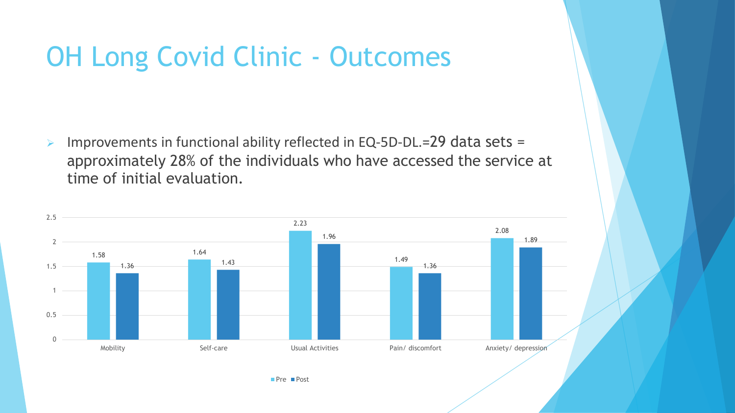# OH Long Covid Clinic - Outcomes

➢ Improvements in functional ability reflected in EQ-5D-DL.=29 data sets = approximately 28% of the individuals who have accessed the service at time of initial evaluation.

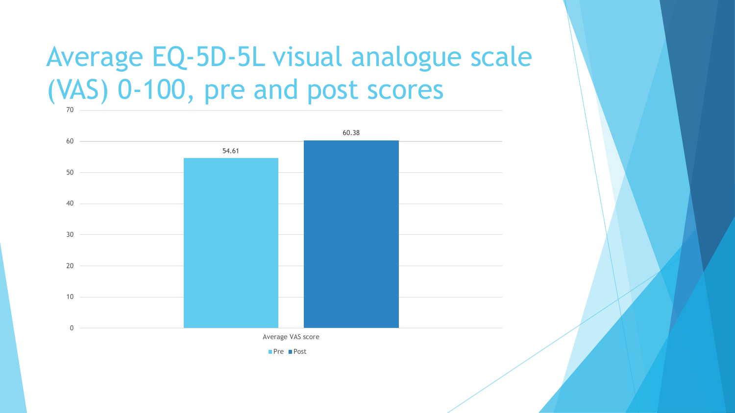#### Average EQ-5D-5L visual analogue scale (VAS) 0-100, pre and post scores 70

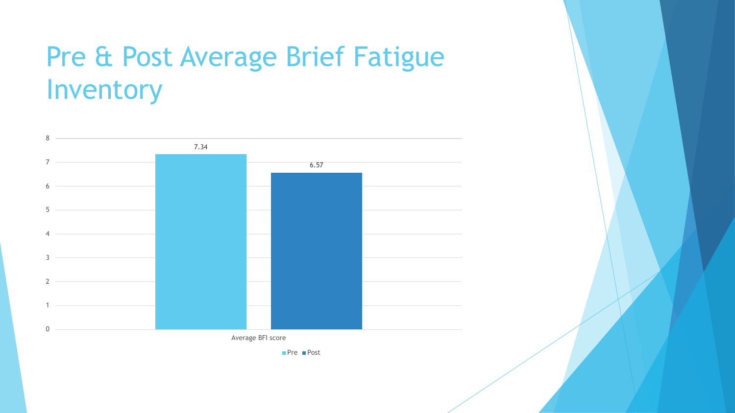# Pre & Post Average Brief Fatigue Inventory



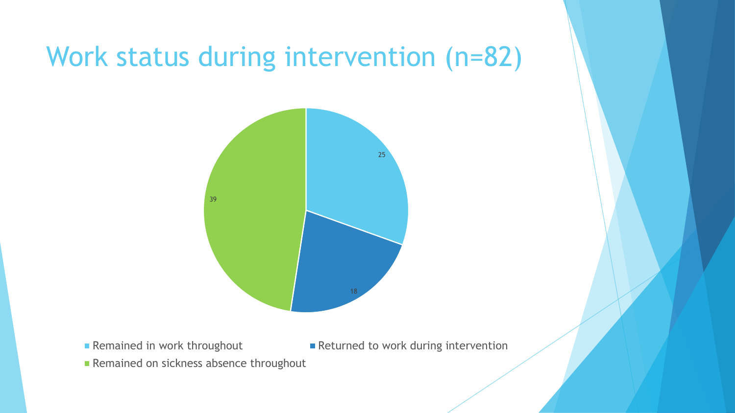### Work status during intervention (n=82)



■ Remained in work throughout ■ Returned to work during intervention

Remained on sickness absence throughout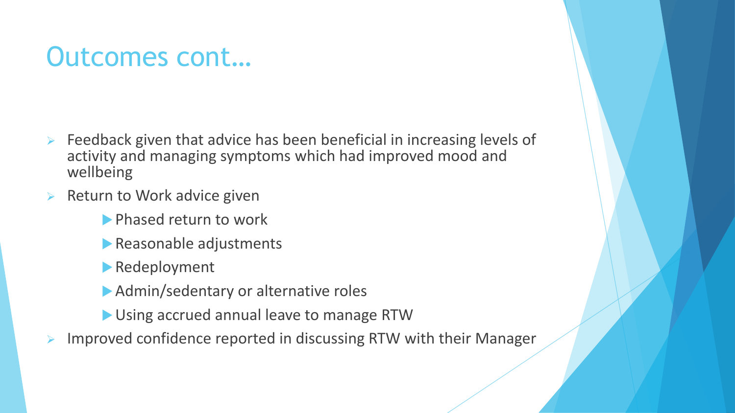### Outcomes cont…

- ➢ Feedback given that advice has been beneficial in increasing levels of activity and managing symptoms which had improved mood and wellbeing
- Return to Work advice given
	- **Phased return to work**
	- Reasonable adjustments
	- Redeployment
	- Admin/sedentary or alternative roles
	- Using accrued annual leave to manage RTW
- ➢ Improved confidence reported in discussing RTW with their Manager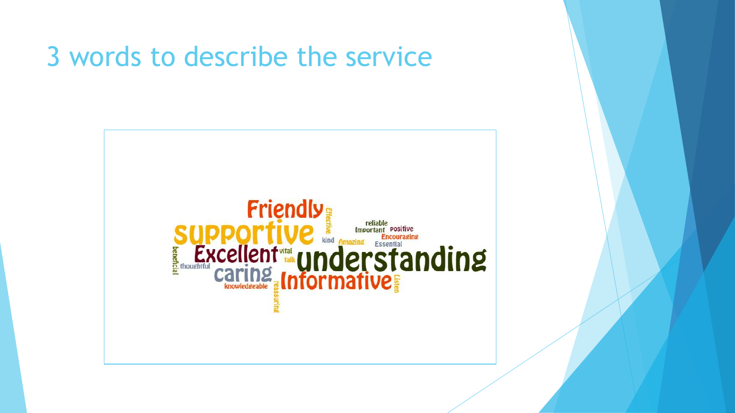### 3 words to describe the service